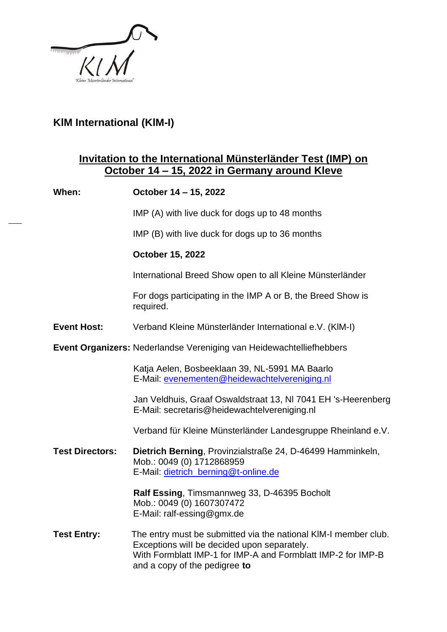

## **KlM International (KlM-I)**

## **Invitation to the International Münsterländer Test (IMP) on October 14 – 15, 2022 in Germany around Kleve**

| When:                                                                | October 14 - 15, 2022                                                                                                                                                                                           |
|----------------------------------------------------------------------|-----------------------------------------------------------------------------------------------------------------------------------------------------------------------------------------------------------------|
|                                                                      | IMP (A) with live duck for dogs up to 48 months                                                                                                                                                                 |
|                                                                      | IMP (B) with live duck for dogs up to 36 months                                                                                                                                                                 |
|                                                                      | <b>October 15, 2022</b>                                                                                                                                                                                         |
|                                                                      | International Breed Show open to all Kleine Münsterländer                                                                                                                                                       |
|                                                                      | For dogs participating in the IMP A or B, the Breed Show is<br>required.                                                                                                                                        |
| <b>Event Host:</b>                                                   | Verband Kleine Münsterländer International e.V. (KIM-I)                                                                                                                                                         |
| Event Organizers: Nederlandse Vereniging van Heidewachtelliefhebbers |                                                                                                                                                                                                                 |
|                                                                      | Katja Aelen, Bosbeeklaan 39, NL-5991 MA Baarlo<br>E-Mail: evenementen@heidewachtelvereniging.nl                                                                                                                 |
|                                                                      | Jan Veldhuis, Graaf Oswaldstraat 13, NI 7041 EH 's-Heerenberg<br>E-Mail: secretaris@heidewachtelvereniging.nl                                                                                                   |
|                                                                      | Verband für Kleine Münsterländer Landesgruppe Rheinland e.V.                                                                                                                                                    |
| <b>Test Directors:</b>                                               | Dietrich Berning, Provinzialstraße 24, D-46499 Hamminkeln,<br>Mob.: 0049 (0) 1712868959<br>E-Mail: dietrich_berning@t-online.de                                                                                 |
|                                                                      | Ralf Essing, Timsmannweg 33, D-46395 Bocholt<br>Mob.: 0049 (0) 1607307472<br>E-Mail: ralf-essing@gmx.de                                                                                                         |
| <b>Test Entry:</b>                                                   | The entry must be submitted via the national KIM-I member club.<br>Exceptions will be decided upon separately.<br>With Formblatt IMP-1 for IMP-A and Formblatt IMP-2 for IMP-B<br>and a copy of the pedigree to |